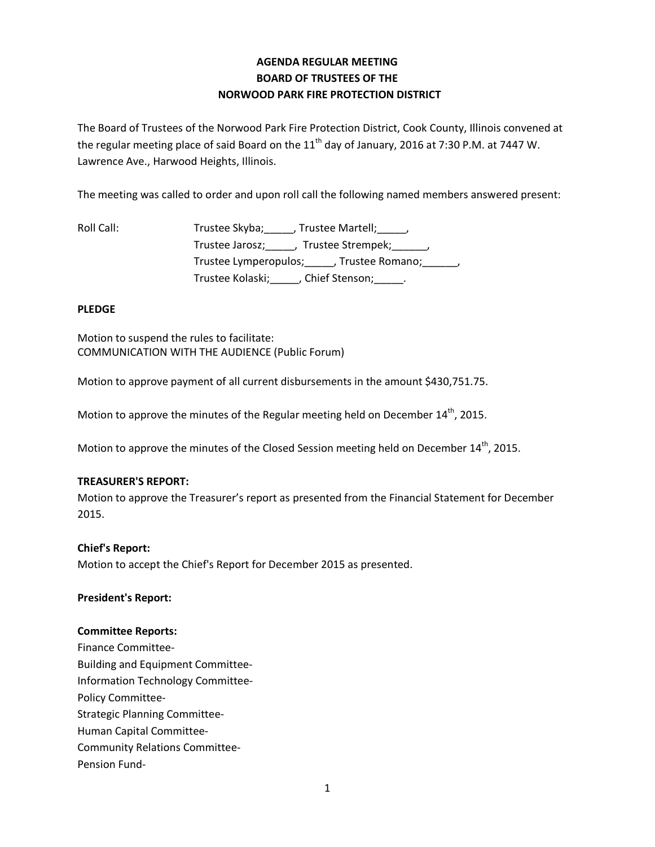# **AGENDA REGULAR MEETING BOARD OF TRUSTEES OF THE NORWOOD PARK FIRE PROTECTION DISTRICT**

The Board of Trustees of the Norwood Park Fire Protection District, Cook County, Illinois convened at the regular meeting place of said Board on the  $11<sup>th</sup>$  day of January, 2016 at 7:30 P.M. at 7447 W. Lawrence Ave., Harwood Heights, Illinois.

The meeting was called to order and upon roll call the following named members answered present:

Roll Call: Trustee Skyba; \_\_\_\_, Trustee Martell; \_\_\_\_, Trustee Jarosz; frustee Strempek; frustee Jarosz; degree of the Strempek; Trustee Lymperopulos; frustee Romano; frustee Romano; Trustee Kolaski; (Chief Stenson; Fig. 2.

## **PLEDGE**

Motion to suspend the rules to facilitate: COMMUNICATION WITH THE AUDIENCE (Public Forum)

Motion to approve payment of all current disbursements in the amount \$430,751.75.

Motion to approve the minutes of the Regular meeting held on December 14<sup>th</sup>, 2015.

Motion to approve the minutes of the Closed Session meeting held on December  $14<sup>th</sup>$ , 2015.

#### **TREASURER'S REPORT:**

Motion to approve the Treasurer's report as presented from the Financial Statement for December 2015.

#### **Chief's Report:**

Motion to accept the Chief's Report for December 2015 as presented.

#### **President's Report:**

#### **Committee Reports:**

Finance Committee-Building and Equipment Committee-Information Technology Committee-Policy Committee-Strategic Planning Committee-Human Capital Committee-Community Relations Committee-Pension Fund-